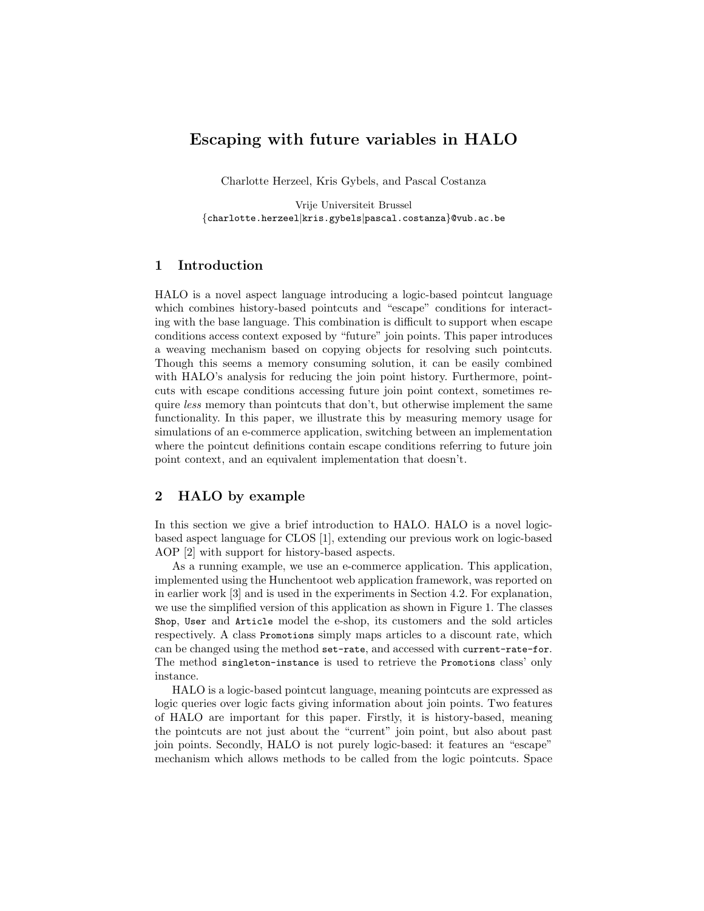# Escaping with future variables in HALO

Charlotte Herzeel, Kris Gybels, and Pascal Costanza

Vrije Universiteit Brussel {charlotte.herzeel|kris.gybels|pascal.costanza}@vub.ac.be

## 1 Introduction

HALO is a novel aspect language introducing a logic-based pointcut language which combines history-based pointcuts and "escape" conditions for interacting with the base language. This combination is difficult to support when escape conditions access context exposed by "future" join points. This paper introduces a weaving mechanism based on copying objects for resolving such pointcuts. Though this seems a memory consuming solution, it can be easily combined with HALO's analysis for reducing the join point history. Furthermore, pointcuts with escape conditions accessing future join point context, sometimes require less memory than pointcuts that don't, but otherwise implement the same functionality. In this paper, we illustrate this by measuring memory usage for simulations of an e-commerce application, switching between an implementation where the pointcut definitions contain escape conditions referring to future join point context, and an equivalent implementation that doesn't.

### 2 HALO by example

In this section we give a brief introduction to HALO. HALO is a novel logicbased aspect language for CLOS [1], extending our previous work on logic-based AOP [2] with support for history-based aspects.

As a running example, we use an e-commerce application. This application, implemented using the Hunchentoot web application framework, was reported on in earlier work [3] and is used in the experiments in Section 4.2. For explanation, we use the simplified version of this application as shown in Figure 1. The classes Shop, User and Article model the e-shop, its customers and the sold articles respectively. A class Promotions simply maps articles to a discount rate, which can be changed using the method set-rate, and accessed with current-rate-for. The method singleton-instance is used to retrieve the Promotions class' only instance.

HALO is a logic-based pointcut language, meaning pointcuts are expressed as logic queries over logic facts giving information about join points. Two features of HALO are important for this paper. Firstly, it is history-based, meaning the pointcuts are not just about the "current" join point, but also about past join points. Secondly, HALO is not purely logic-based: it features an "escape" mechanism which allows methods to be called from the logic pointcuts. Space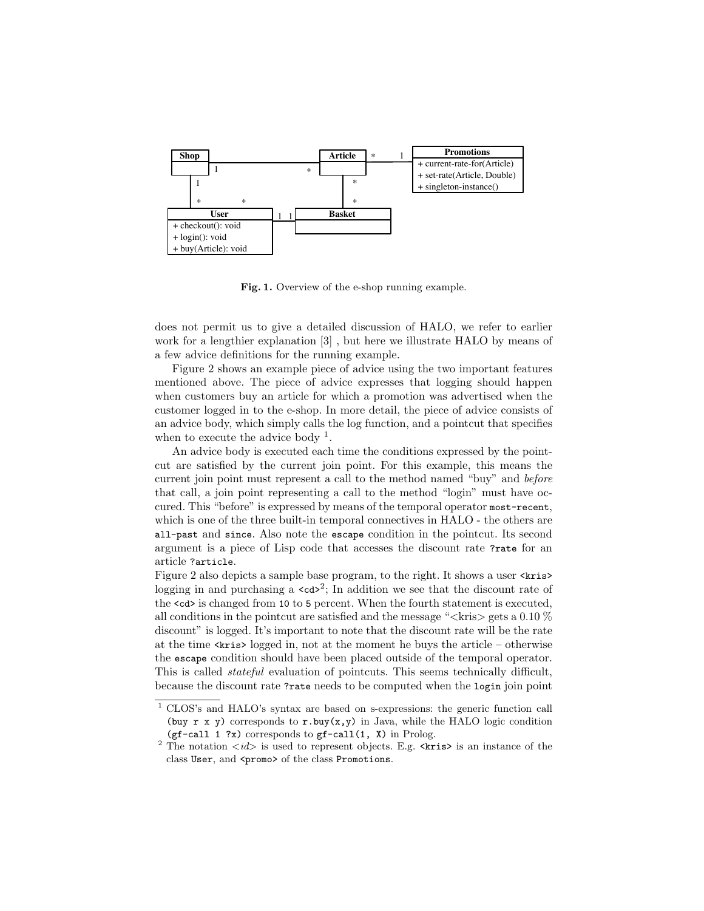

Fig. 1. Overview of the e-shop running example.

does not permit us to give a detailed discussion of HALO, we refer to earlier work for a lengthier explanation [3] , but here we illustrate HALO by means of a few advice definitions for the running example.

Figure 2 shows an example piece of advice using the two important features mentioned above. The piece of advice expresses that logging should happen when customers buy an article for which a promotion was advertised when the customer logged in to the e-shop. In more detail, the piece of advice consists of an advice body, which simply calls the log function, and a pointcut that specifies when to execute the advice body  $^1$ .

An advice body is executed each time the conditions expressed by the pointcut are satisfied by the current join point. For this example, this means the current join point must represent a call to the method named "buy" and before that call, a join point representing a call to the method "login" must have occured. This "before" is expressed by means of the temporal operator most-recent, which is one of the three built-in temporal connectives in HALO - the others are all-past and since. Also note the escape condition in the pointcut. Its second argument is a piece of Lisp code that accesses the discount rate ?rate for an article ?article.

Figure 2 also depicts a sample base program, to the right. It shows a user <kris> logging in and purchasing a  $\langle \text{cd} \rangle^2$ ; In addition we see that the discount rate of the  $\langle \text{cd} \rangle$  is changed from 10 to 5 percent. When the fourth statement is executed, all conditions in the pointcut are satisfied and the message " $\langle$ kris $\rangle$  gets a 0.10  $\%$ discount" is logged. It's important to note that the discount rate will be the rate at the time  $\langle k\text{ris}\rangle$  logged in, not at the moment he buys the article – otherwise the escape condition should have been placed outside of the temporal operator. This is called stateful evaluation of pointcuts. This seems technically difficult, because the discount rate ?rate needs to be computed when the login join point

<sup>1</sup> CLOS's and HALO's syntax are based on s-expressions: the generic function call (buy  $r \times y$ ) corresponds to  $r.buy(x,y)$  in Java, while the HALO logic condition (gf-call 1 ?x) corresponds to gf-call(1,  $X$ ) in Prolog.

<sup>&</sup>lt;sup>2</sup> The notation  $\langle id \rangle$  is used to represent objects. E.g. **Kris** is an instance of the class User, and <promo> of the class Promotions.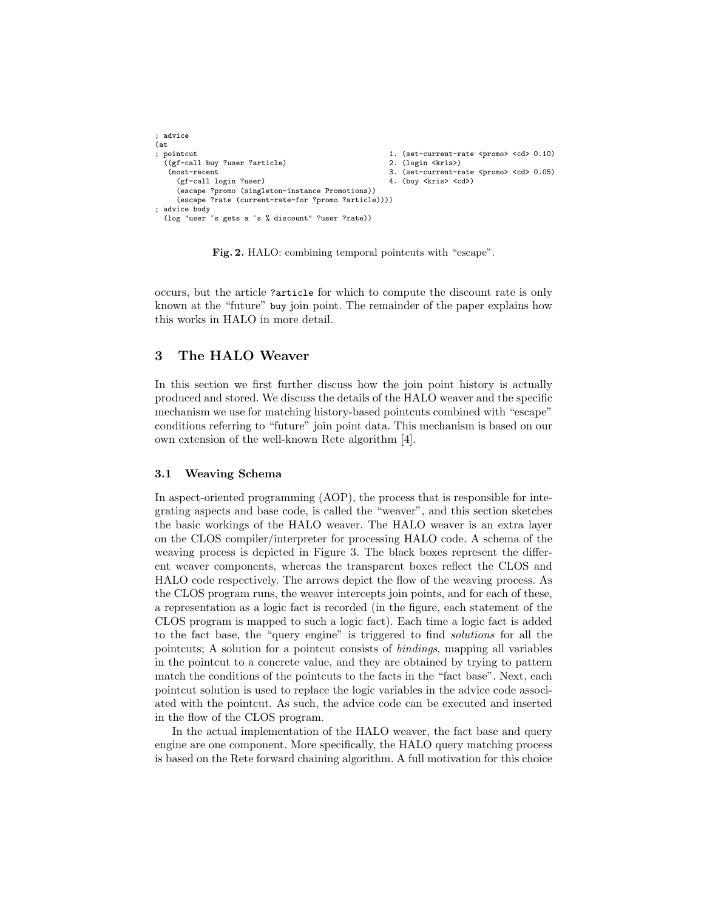```
; advice
(at<br>; pointcut
                                                               1. (set-current-rate <promo> <cd> 0.10)<br>2. (login <kris>)
  ((gf-call buy ?user ?article)
   (most-recent 3. (set-current-rate <promo> <cd> 0.05)<br>
(gf-call login ?user) \qquad \qquad 4. (buy <kris> <cd>)
      (gf-call login ?user)
      (escape ?promo (singleton-instance Promotions))
      (escape ?rate (current-rate-for ?promo ?article))))
; advice body
  (log "user ~s gets a ~s % discount" ?user ?rate))
```
Fig. 2. HALO: combining temporal pointcuts with "escape".

occurs, but the article ?article for which to compute the discount rate is only known at the "future" buy join point. The remainder of the paper explains how this works in HALO in more detail.

## 3 The HALO Weaver

In this section we first further discuss how the join point history is actually produced and stored. We discuss the details of the HALO weaver and the specific mechanism we use for matching history-based pointcuts combined with "escape" conditions referring to "future" join point data. This mechanism is based on our own extension of the well-known Rete algorithm [4].

### 3.1 Weaving Schema

In aspect-oriented programming (AOP), the process that is responsible for integrating aspects and base code, is called the "weaver", and this section sketches the basic workings of the HALO weaver. The HALO weaver is an extra layer on the CLOS compiler/interpreter for processing HALO code. A schema of the weaving process is depicted in Figure 3. The black boxes represent the different weaver components, whereas the transparent boxes reflect the CLOS and HALO code respectively. The arrows depict the flow of the weaving process. As the CLOS program runs, the weaver intercepts join points, and for each of these, a representation as a logic fact is recorded (in the figure, each statement of the CLOS program is mapped to such a logic fact). Each time a logic fact is added to the fact base, the "query engine" is triggered to find solutions for all the pointcuts; A solution for a pointcut consists of bindings, mapping all variables in the pointcut to a concrete value, and they are obtained by trying to pattern match the conditions of the pointcuts to the facts in the "fact base". Next, each pointcut solution is used to replace the logic variables in the advice code associated with the pointcut. As such, the advice code can be executed and inserted in the flow of the CLOS program.

In the actual implementation of the HALO weaver, the fact base and query engine are one component. More specifically, the HALO query matching process is based on the Rete forward chaining algorithm. A full motivation for this choice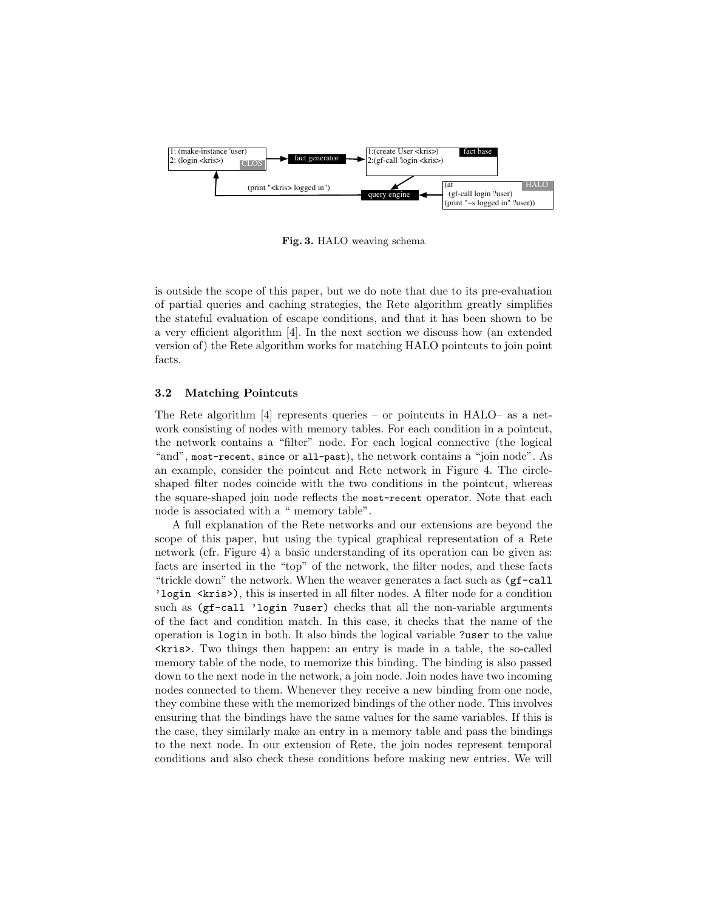

Fig. 3. HALO weaving schema

is outside the scope of this paper, but we do note that due to its pre-evaluation of partial queries and caching strategies, the Rete algorithm greatly simplifies the stateful evaluation of escape conditions, and that it has been shown to be a very efficient algorithm [4]. In the next section we discuss how (an extended version of) the Rete algorithm works for matching HALO pointcuts to join point facts.

#### 3.2 Matching Pointcuts

The Rete algorithm [4] represents queries – or pointcuts in  $HALO-$  as a network consisting of nodes with memory tables. For each condition in a pointcut, the network contains a "filter" node. For each logical connective (the logical "and", most-recent, since or all-past), the network contains a "join node". As an example, consider the pointcut and Rete network in Figure 4. The circleshaped filter nodes coincide with the two conditions in the pointcut, whereas the square-shaped join node reflects the most-recent operator. Note that each node is associated with a " memory table".

A full explanation of the Rete networks and our extensions are beyond the scope of this paper, but using the typical graphical representation of a Rete network (cfr. Figure 4) a basic understanding of its operation can be given as: facts are inserted in the "top" of the network, the filter nodes, and these facts "trickle down" the network. When the weaver generates a fact such as (gf-call 'login <kris>), this is inserted in all filter nodes. A filter node for a condition such as (gf-call 'login ?user) checks that all the non-variable arguments of the fact and condition match. In this case, it checks that the name of the operation is login in both. It also binds the logical variable ?user to the value  $\langle$ kris>. Two things then happen: an entry is made in a table, the so-called memory table of the node, to memorize this binding. The binding is also passed down to the next node in the network, a join node. Join nodes have two incoming nodes connected to them. Whenever they receive a new binding from one node, they combine these with the memorized bindings of the other node. This involves ensuring that the bindings have the same values for the same variables. If this is the case, they similarly make an entry in a memory table and pass the bindings to the next node. In our extension of Rete, the join nodes represent temporal conditions and also check these conditions before making new entries. We will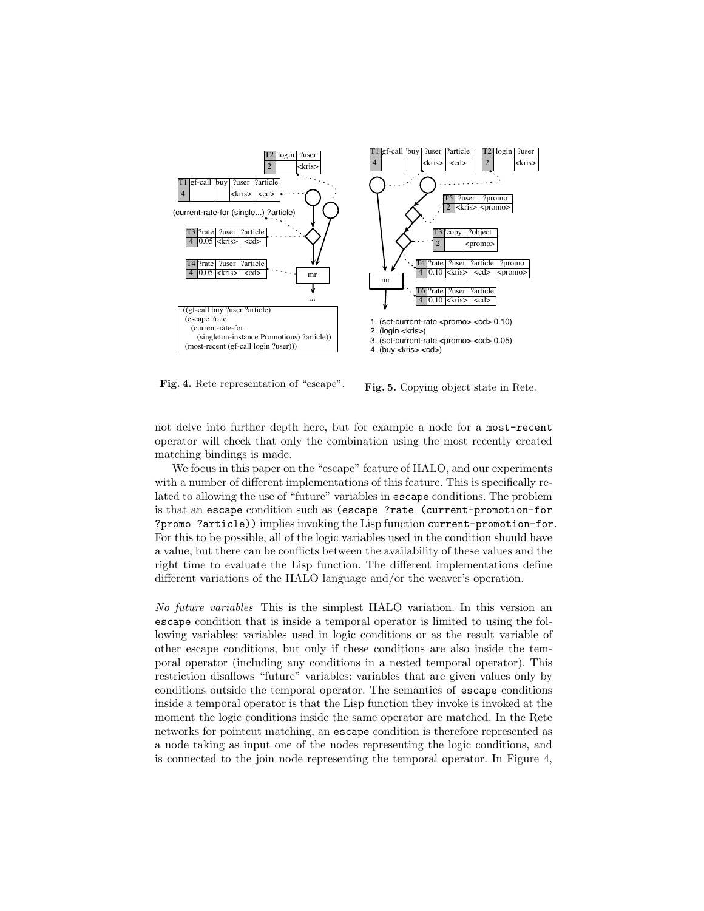

Fig. 4. Rete representation of "escape".

Fig. 5. Copying object state in Rete.

not delve into further depth here, but for example a node for a most-recent operator will check that only the combination using the most recently created matching bindings is made.

We focus in this paper on the "escape" feature of HALO, and our experiments with a number of different implementations of this feature. This is specifically related to allowing the use of "future" variables in escape conditions. The problem is that an escape condition such as (escape ?rate (current-promotion-for ?promo ?article)) implies invoking the Lisp function current-promotion-for. For this to be possible, all of the logic variables used in the condition should have a value, but there can be conflicts between the availability of these values and the right time to evaluate the Lisp function. The different implementations define different variations of the HALO language and/or the weaver's operation.

No future variables This is the simplest HALO variation. In this version an escape condition that is inside a temporal operator is limited to using the following variables: variables used in logic conditions or as the result variable of other escape conditions, but only if these conditions are also inside the temporal operator (including any conditions in a nested temporal operator). This restriction disallows "future" variables: variables that are given values only by conditions outside the temporal operator. The semantics of escape conditions inside a temporal operator is that the Lisp function they invoke is invoked at the moment the logic conditions inside the same operator are matched. In the Rete networks for pointcut matching, an escape condition is therefore represented as a node taking as input one of the nodes representing the logic conditions, and is connected to the join node representing the temporal operator. In Figure 4,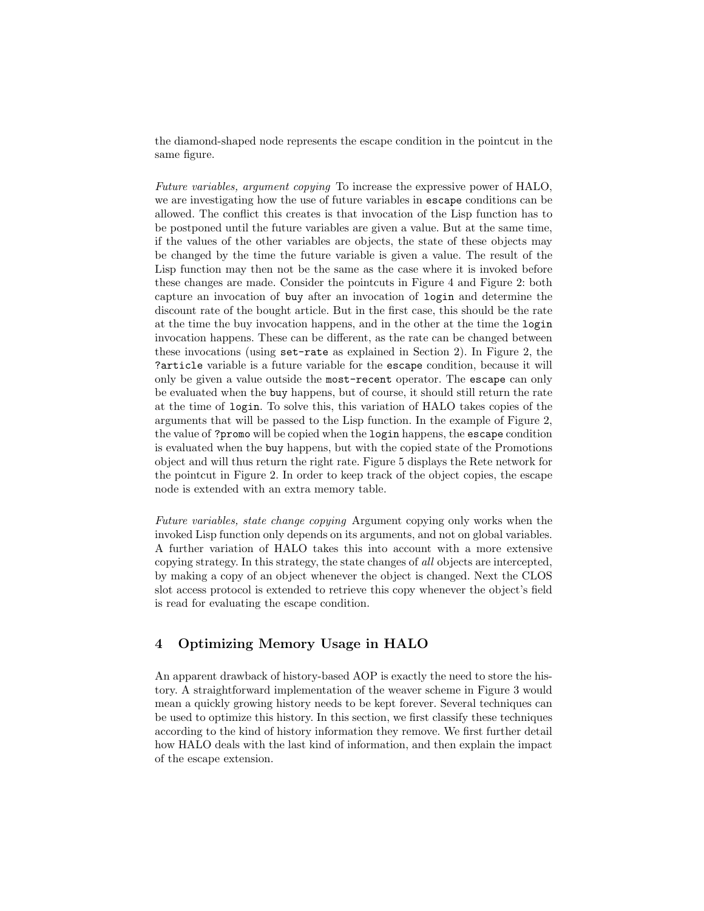the diamond-shaped node represents the escape condition in the pointcut in the same figure.

Future variables, argument copying To increase the expressive power of HALO, we are investigating how the use of future variables in escape conditions can be allowed. The conflict this creates is that invocation of the Lisp function has to be postponed until the future variables are given a value. But at the same time, if the values of the other variables are objects, the state of these objects may be changed by the time the future variable is given a value. The result of the Lisp function may then not be the same as the case where it is invoked before these changes are made. Consider the pointcuts in Figure 4 and Figure 2: both capture an invocation of buy after an invocation of login and determine the discount rate of the bought article. But in the first case, this should be the rate at the time the buy invocation happens, and in the other at the time the login invocation happens. These can be different, as the rate can be changed between these invocations (using set-rate as explained in Section 2). In Figure 2, the ?article variable is a future variable for the escape condition, because it will only be given a value outside the most-recent operator. The escape can only be evaluated when the buy happens, but of course, it should still return the rate at the time of login. To solve this, this variation of HALO takes copies of the arguments that will be passed to the Lisp function. In the example of Figure 2, the value of ?promo will be copied when the login happens, the escape condition is evaluated when the buy happens, but with the copied state of the Promotions object and will thus return the right rate. Figure 5 displays the Rete network for the pointcut in Figure 2. In order to keep track of the object copies, the escape node is extended with an extra memory table.

Future variables, state change copying Argument copying only works when the invoked Lisp function only depends on its arguments, and not on global variables. A further variation of HALO takes this into account with a more extensive copying strategy. In this strategy, the state changes of all objects are intercepted, by making a copy of an object whenever the object is changed. Next the CLOS slot access protocol is extended to retrieve this copy whenever the object's field is read for evaluating the escape condition.

## 4 Optimizing Memory Usage in HALO

An apparent drawback of history-based AOP is exactly the need to store the history. A straightforward implementation of the weaver scheme in Figure 3 would mean a quickly growing history needs to be kept forever. Several techniques can be used to optimize this history. In this section, we first classify these techniques according to the kind of history information they remove. We first further detail how HALO deals with the last kind of information, and then explain the impact of the escape extension.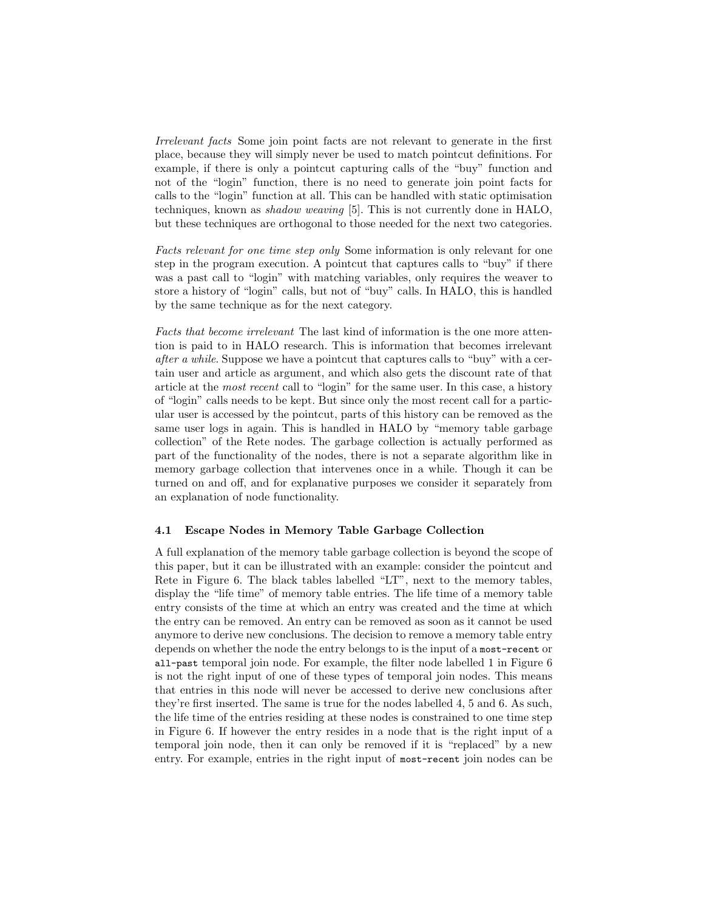Irrelevant facts Some join point facts are not relevant to generate in the first place, because they will simply never be used to match pointcut definitions. For example, if there is only a pointcut capturing calls of the "buy" function and not of the "login" function, there is no need to generate join point facts for calls to the "login" function at all. This can be handled with static optimisation techniques, known as shadow weaving [5]. This is not currently done in HALO, but these techniques are orthogonal to those needed for the next two categories.

Facts relevant for one time step only Some information is only relevant for one step in the program execution. A pointcut that captures calls to "buy" if there was a past call to "login" with matching variables, only requires the weaver to store a history of "login" calls, but not of "buy" calls. In HALO, this is handled by the same technique as for the next category.

Facts that become irrelevant The last kind of information is the one more attention is paid to in HALO research. This is information that becomes irrelevant after a while. Suppose we have a pointcut that captures calls to "buy" with a certain user and article as argument, and which also gets the discount rate of that article at the most recent call to "login" for the same user. In this case, a history of "login" calls needs to be kept. But since only the most recent call for a particular user is accessed by the pointcut, parts of this history can be removed as the same user logs in again. This is handled in HALO by "memory table garbage collection" of the Rete nodes. The garbage collection is actually performed as part of the functionality of the nodes, there is not a separate algorithm like in memory garbage collection that intervenes once in a while. Though it can be turned on and off, and for explanative purposes we consider it separately from an explanation of node functionality.

#### 4.1 Escape Nodes in Memory Table Garbage Collection

A full explanation of the memory table garbage collection is beyond the scope of this paper, but it can be illustrated with an example: consider the pointcut and Rete in Figure 6. The black tables labelled "LT", next to the memory tables, display the "life time" of memory table entries. The life time of a memory table entry consists of the time at which an entry was created and the time at which the entry can be removed. An entry can be removed as soon as it cannot be used anymore to derive new conclusions. The decision to remove a memory table entry depends on whether the node the entry belongs to is the input of a most-recent or all-past temporal join node. For example, the filter node labelled 1 in Figure 6 is not the right input of one of these types of temporal join nodes. This means that entries in this node will never be accessed to derive new conclusions after they're first inserted. The same is true for the nodes labelled 4, 5 and 6. As such, the life time of the entries residing at these nodes is constrained to one time step in Figure 6. If however the entry resides in a node that is the right input of a temporal join node, then it can only be removed if it is "replaced" by a new entry. For example, entries in the right input of most-recent join nodes can be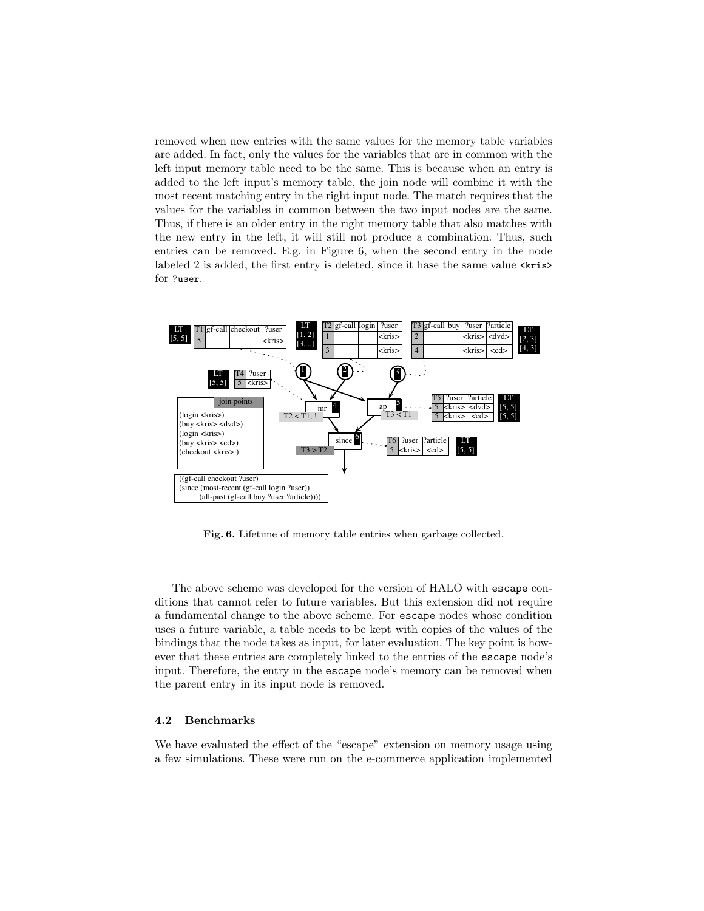removed when new entries with the same values for the memory table variables are added. In fact, only the values for the variables that are in common with the left input memory table need to be the same. This is because when an entry is added to the left input's memory table, the join node will combine it with the most recent matching entry in the right input node. The match requires that the values for the variables in common between the two input nodes are the same. Thus, if there is an older entry in the right memory table that also matches with the new entry in the left, it will still not produce a combination. Thus, such entries can be removed. E.g. in Figure 6, when the second entry in the node labeled 2 is added, the first entry is deleted, since it hase the same value  $\langle kris \rangle$ for ?user.



Fig. 6. Lifetime of memory table entries when garbage collected.

The above scheme was developed for the version of HALO with escape conditions that cannot refer to future variables. But this extension did not require a fundamental change to the above scheme. For escape nodes whose condition uses a future variable, a table needs to be kept with copies of the values of the bindings that the node takes as input, for later evaluation. The key point is however that these entries are completely linked to the entries of the escape node's input. Therefore, the entry in the escape node's memory can be removed when the parent entry in its input node is removed.

### 4.2 Benchmarks

We have evaluated the effect of the "escape" extension on memory usage using a few simulations. These were run on the e-commerce application implemented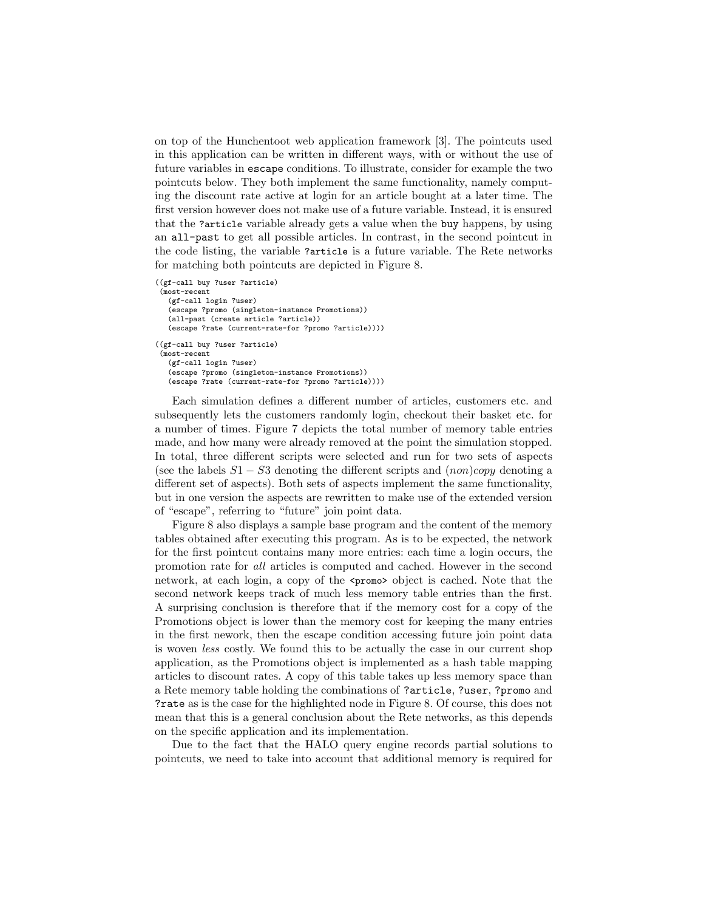on top of the Hunchentoot web application framework [3]. The pointcuts used in this application can be written in different ways, with or without the use of future variables in escape conditions. To illustrate, consider for example the two pointcuts below. They both implement the same functionality, namely computing the discount rate active at login for an article bought at a later time. The first version however does not make use of a future variable. Instead, it is ensured that the ?article variable already gets a value when the buy happens, by using an all-past to get all possible articles. In contrast, in the second pointcut in the code listing, the variable ?article is a future variable. The Rete networks for matching both pointcuts are depicted in Figure 8.

```
((gf-call buy ?user ?article)
 (most-recent
   (gf-call login ?user)
   (escape ?promo (singleton-instance Promotions))
   (all-past (create article ?article))
   (escape ?rate (current-rate-for ?promo ?article))))
((gf-call buy ?user ?article)
 (most-recent
   (gf-call login ?user)
   (escape ?promo (singleton-instance Promotions))
   (escape ?rate (current-rate-for ?promo ?article))))
```
Each simulation defines a different number of articles, customers etc. and subsequently lets the customers randomly login, checkout their basket etc. for a number of times. Figure 7 depicts the total number of memory table entries made, and how many were already removed at the point the simulation stopped. In total, three different scripts were selected and run for two sets of aspects (see the labels  $S1-S3$  denoting the different scripts and  $(non)copy$  denoting a different set of aspects). Both sets of aspects implement the same functionality, but in one version the aspects are rewritten to make use of the extended version of "escape", referring to "future" join point data.

Figure 8 also displays a sample base program and the content of the memory tables obtained after executing this program. As is to be expected, the network for the first pointcut contains many more entries: each time a login occurs, the promotion rate for all articles is computed and cached. However in the second network, at each login, a copy of the <promo> object is cached. Note that the second network keeps track of much less memory table entries than the first. A surprising conclusion is therefore that if the memory cost for a copy of the Promotions object is lower than the memory cost for keeping the many entries in the first nework, then the escape condition accessing future join point data is woven less costly. We found this to be actually the case in our current shop application, as the Promotions object is implemented as a hash table mapping articles to discount rates. A copy of this table takes up less memory space than a Rete memory table holding the combinations of ?article, ?user, ?promo and ?rate as is the case for the highlighted node in Figure 8. Of course, this does not mean that this is a general conclusion about the Rete networks, as this depends on the specific application and its implementation.

Due to the fact that the HALO query engine records partial solutions to pointcuts, we need to take into account that additional memory is required for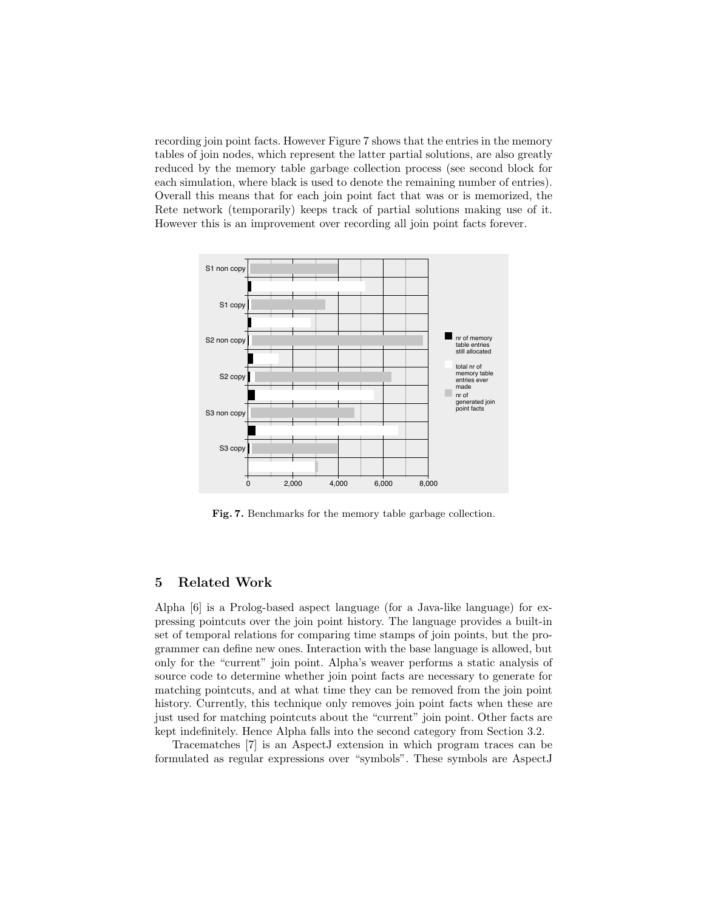recording join point facts. However Figure 7 shows that the entries in the memory tables of join nodes, which represent the latter partial solutions, are also greatly reduced by the memory table garbage collection process (see second block for each simulation, where black is used to denote the remaining number of entries). Overall this means that for each join point fact that was or is memorized, the Rete network (temporarily) keeps track of partial solutions making use of it. However this is an improvement over recording all join point facts forever.



Fig. 7. Benchmarks for the memory table garbage collection.

## 5 Related Work

Alpha [6] is a Prolog-based aspect language (for a Java-like language) for expressing pointcuts over the join point history. The language provides a built-in set of temporal relations for comparing time stamps of join points, but the programmer can define new ones. Interaction with the base language is allowed, but only for the "current" join point. Alpha's weaver performs a static analysis of source code to determine whether join point facts are necessary to generate for matching pointcuts, and at what time they can be removed from the join point history. Currently, this technique only removes join point facts when these are just used for matching pointcuts about the "current" join point. Other facts are kept indefinitely. Hence Alpha falls into the second category from Section 3.2.

Tracematches [7] is an AspectJ extension in which program traces can be formulated as regular expressions over "symbols". These symbols are AspectJ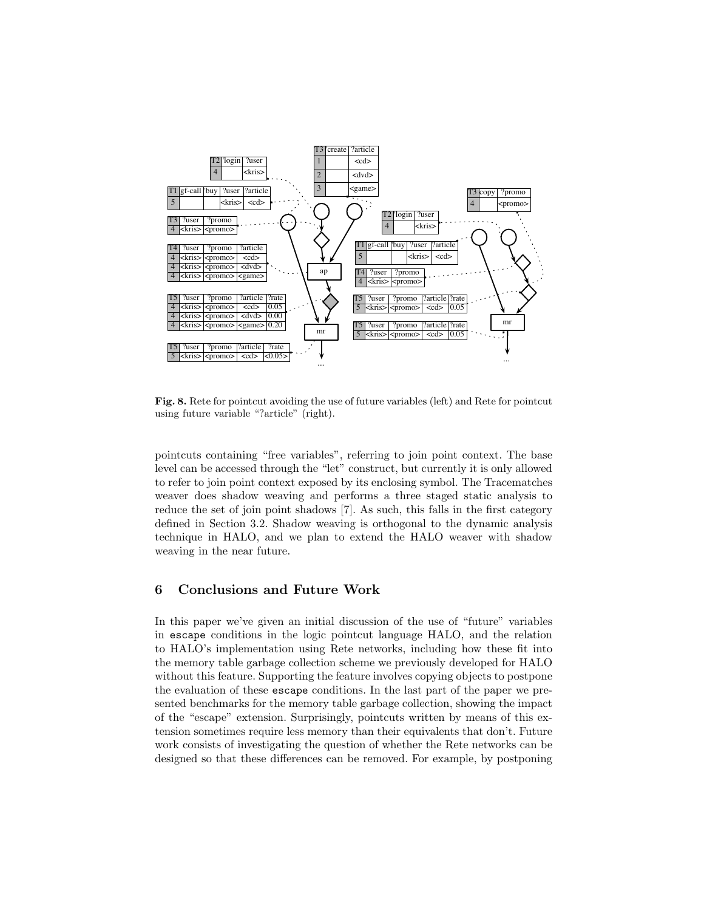

Fig. 8. Rete for pointcut avoiding the use of future variables (left) and Rete for pointcut using future variable "?article" (right).

pointcuts containing "free variables", referring to join point context. The base level can be accessed through the "let" construct, but currently it is only allowed to refer to join point context exposed by its enclosing symbol. The Tracematches weaver does shadow weaving and performs a three staged static analysis to reduce the set of join point shadows [7]. As such, this falls in the first category defined in Section 3.2. Shadow weaving is orthogonal to the dynamic analysis technique in HALO, and we plan to extend the HALO weaver with shadow weaving in the near future.

## 6 Conclusions and Future Work

In this paper we've given an initial discussion of the use of "future" variables in escape conditions in the logic pointcut language HALO, and the relation to HALO's implementation using Rete networks, including how these fit into the memory table garbage collection scheme we previously developed for HALO without this feature. Supporting the feature involves copying objects to postpone the evaluation of these escape conditions. In the last part of the paper we presented benchmarks for the memory table garbage collection, showing the impact of the "escape" extension. Surprisingly, pointcuts written by means of this extension sometimes require less memory than their equivalents that don't. Future work consists of investigating the question of whether the Rete networks can be designed so that these differences can be removed. For example, by postponing